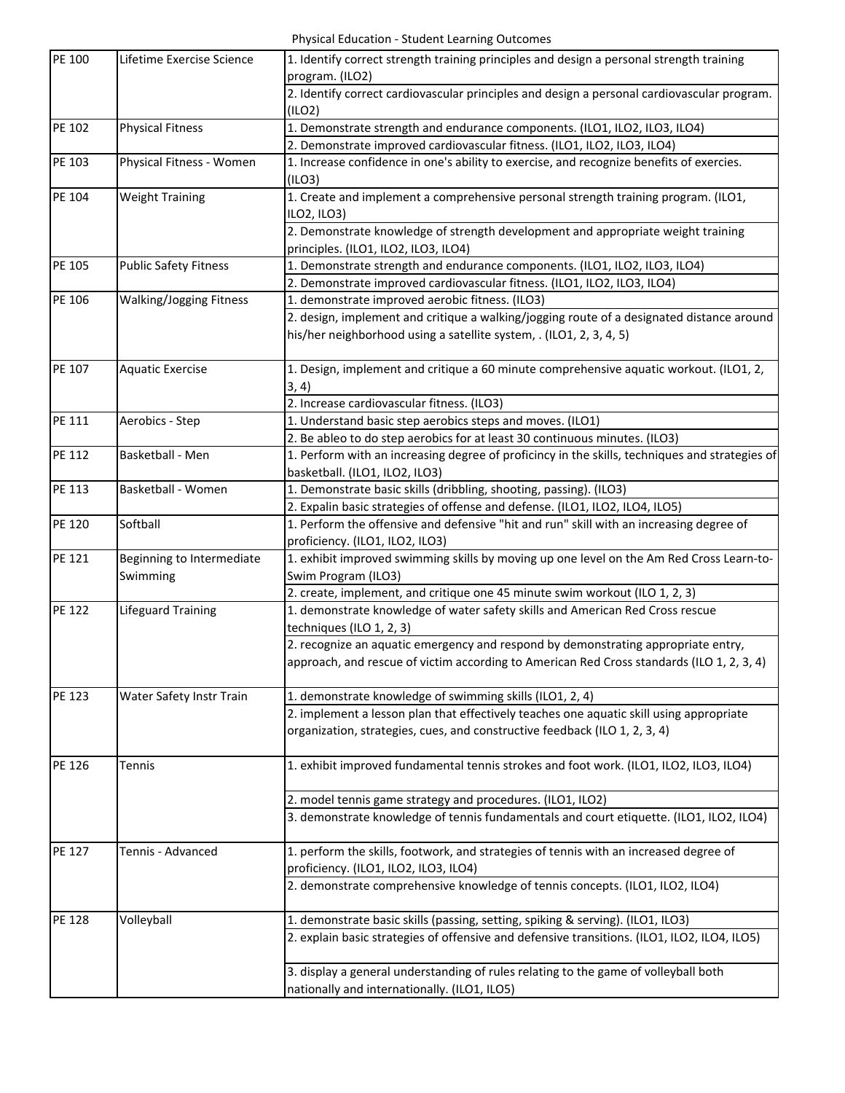Physical Education ‐ Student Learning Outcomes

| PE 100 | Lifetime Exercise Science      | 1. Identify correct strength training principles and design a personal strength training<br>program. (ILO2) |
|--------|--------------------------------|-------------------------------------------------------------------------------------------------------------|
|        |                                | 2. Identify correct cardiovascular principles and design a personal cardiovascular program.                 |
|        |                                | (ILO2)                                                                                                      |
| PE 102 | <b>Physical Fitness</b>        | 1. Demonstrate strength and endurance components. (ILO1, ILO2, ILO3, ILO4)                                  |
|        |                                | 2. Demonstrate improved cardiovascular fitness. (ILO1, ILO2, ILO3, ILO4)                                    |
| PE 103 | Physical Fitness - Women       | 1. Increase confidence in one's ability to exercise, and recognize benefits of exercies.                    |
|        |                                | (ILO3)                                                                                                      |
| PE 104 | <b>Weight Training</b>         | 1. Create and implement a comprehensive personal strength training program. (ILO1,                          |
|        |                                | ILO2, ILO3)                                                                                                 |
|        |                                | 2. Demonstrate knowledge of strength development and appropriate weight training                            |
|        |                                | principles. (ILO1, ILO2, ILO3, ILO4)                                                                        |
| PE 105 | <b>Public Safety Fitness</b>   | 1. Demonstrate strength and endurance components. (ILO1, ILO2, ILO3, ILO4)                                  |
|        |                                | 2. Demonstrate improved cardiovascular fitness. (ILO1, ILO2, ILO3, ILO4)                                    |
| PE 106 | <b>Walking/Jogging Fitness</b> | 1. demonstrate improved aerobic fitness. (ILO3)                                                             |
|        |                                | 2. design, implement and critique a walking/jogging route of a designated distance around                   |
|        |                                | his/her neighborhood using a satellite system, . (ILO1, 2, 3, 4, 5)                                         |
|        |                                |                                                                                                             |
| PE 107 | <b>Aquatic Exercise</b>        | 1. Design, implement and critique a 60 minute comprehensive aquatic workout. (ILO1, 2,                      |
|        |                                | 3, 4)                                                                                                       |
|        |                                | 2. Increase cardiovascular fitness. (ILO3)                                                                  |
| PE 111 | Aerobics - Step                | 1. Understand basic step aerobics steps and moves. (ILO1)                                                   |
|        |                                | 2. Be ableo to do step aerobics for at least 30 continuous minutes. (ILO3)                                  |
| PE 112 | Basketball - Men               | 1. Perform with an increasing degree of proficincy in the skills, techniques and strategies of              |
|        |                                | basketball. (ILO1, ILO2, ILO3)                                                                              |
|        |                                |                                                                                                             |
| PE 113 | Basketball - Women             | 1. Demonstrate basic skills (dribbling, shooting, passing). (ILO3)                                          |
|        |                                | 2. Expalin basic strategies of offense and defense. (ILO1, ILO2, ILO4, ILO5)                                |
| PE 120 | Softball                       | 1. Perform the offensive and defensive "hit and run" skill with an increasing degree of                     |
|        |                                | proficiency. (ILO1, ILO2, ILO3)                                                                             |
| PE 121 | Beginning to Intermediate      | 1. exhibit improved swimming skills by moving up one level on the Am Red Cross Learn-to-                    |
|        | Swimming                       | Swim Program (ILO3)                                                                                         |
|        |                                | 2. create, implement, and critique one 45 minute swim workout (ILO 1, 2, 3)                                 |
| PE 122 | <b>Lifeguard Training</b>      | 1. demonstrate knowledge of water safety skills and American Red Cross rescue                               |
|        |                                | techniques (ILO 1, 2, 3)                                                                                    |
|        |                                | 2. recognize an aquatic emergency and respond by demonstrating appropriate entry,                           |
|        |                                | approach, and rescue of victim according to American Red Cross standards (ILO 1, 2, 3, 4)                   |
|        |                                |                                                                                                             |
| PE 123 | Water Safety Instr Train       | 1. demonstrate knowledge of swimming skills (ILO1, 2, 4)                                                    |
|        |                                | 2. implement a lesson plan that effectively teaches one aquatic skill using appropriate                     |
|        |                                | organization, strategies, cues, and constructive feedback (ILO 1, 2, 3, 4)                                  |
|        |                                |                                                                                                             |
| PE 126 | <b>Tennis</b>                  | 1. exhibit improved fundamental tennis strokes and foot work. (ILO1, ILO2, ILO3, ILO4)                      |
|        |                                |                                                                                                             |
|        |                                | 2. model tennis game strategy and procedures. (ILO1, ILO2)                                                  |
|        |                                | 3. demonstrate knowledge of tennis fundamentals and court etiquette. (ILO1, ILO2, ILO4)                     |
|        |                                |                                                                                                             |
| PE 127 | Tennis - Advanced              | 1. perform the skills, footwork, and strategies of tennis with an increased degree of                       |
|        |                                | proficiency. (ILO1, ILO2, ILO3, ILO4)                                                                       |
|        |                                | 2. demonstrate comprehensive knowledge of tennis concepts. (ILO1, ILO2, ILO4)                               |
|        |                                |                                                                                                             |
| PE 128 | Volleyball                     | 1. demonstrate basic skills (passing, setting, spiking & serving). (ILO1, ILO3)                             |
|        |                                | 2. explain basic strategies of offensive and defensive transitions. (ILO1, ILO2, ILO4, ILO5)                |
|        |                                |                                                                                                             |
|        |                                | 3. display a general understanding of rules relating to the game of volleyball both                         |
|        |                                | nationally and internationally. (ILO1, ILO5)                                                                |
|        |                                |                                                                                                             |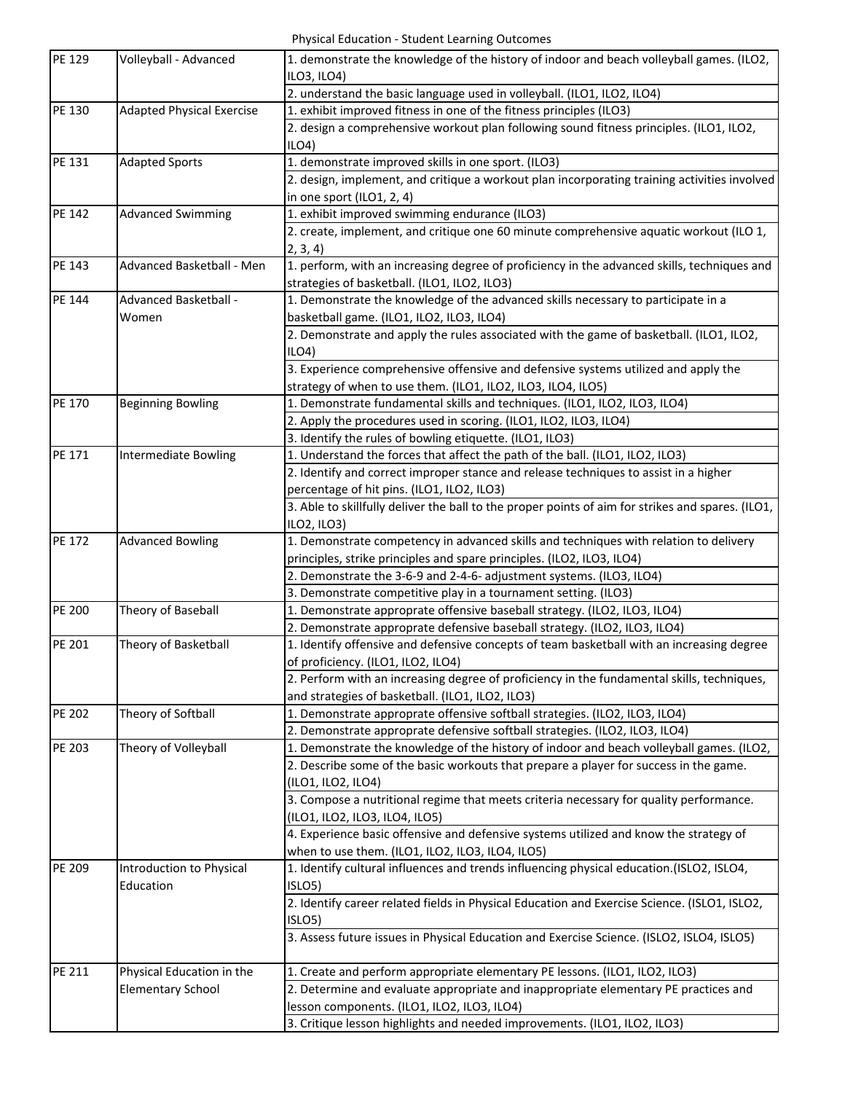Physical Education ‐ Student Learning Outcomes

| PE 129        | Volleyball - Advanced            | 1. demonstrate the knowledge of the history of indoor and beach volleyball games. (ILO2,<br>ILO3, ILO4) |
|---------------|----------------------------------|---------------------------------------------------------------------------------------------------------|
|               |                                  | 2. understand the basic language used in volleyball. (ILO1, ILO2, ILO4)                                 |
| PE 130        | <b>Adapted Physical Exercise</b> | 1. exhibit improved fitness in one of the fitness principles (ILO3)                                     |
|               |                                  | 2. design a comprehensive workout plan following sound fitness principles. (ILO1, ILO2,                 |
|               |                                  | ILO4                                                                                                    |
| PE 131        | <b>Adapted Sports</b>            | 1. demonstrate improved skills in one sport. (ILO3)                                                     |
|               |                                  | 2. design, implement, and critique a workout plan incorporating training activities involved            |
|               |                                  | in one sport (ILO1, 2, 4)                                                                               |
| PE 142        | <b>Advanced Swimming</b>         | 1. exhibit improved swimming endurance (ILO3)                                                           |
|               |                                  | 2. create, implement, and critique one 60 minute comprehensive aquatic workout (ILO 1,                  |
|               |                                  | 2, 3, 4)                                                                                                |
| PE 143        | Advanced Basketball - Men        | 1. perform, with an increasing degree of proficiency in the advanced skills, techniques and             |
|               |                                  | strategies of basketball. (ILO1, ILO2, ILO3)                                                            |
| PE 144        | Advanced Basketball -            | 1. Demonstrate the knowledge of the advanced skills necessary to participate in a                       |
|               | Women                            | basketball game. (ILO1, ILO2, ILO3, ILO4)                                                               |
|               |                                  | 2. Demonstrate and apply the rules associated with the game of basketball. (ILO1, ILO2,                 |
|               |                                  | ILO4                                                                                                    |
|               |                                  | 3. Experience comprehensive offensive and defensive systems utilized and apply the                      |
|               |                                  | strategy of when to use them. (ILO1, ILO2, ILO3, ILO4, ILO5)                                            |
| PE 170        | <b>Beginning Bowling</b>         | 1. Demonstrate fundamental skills and techniques. (ILO1, ILO2, ILO3, ILO4)                              |
|               |                                  | 2. Apply the procedures used in scoring. (ILO1, ILO2, ILO3, ILO4)                                       |
|               |                                  | 3. Identify the rules of bowling etiquette. (ILO1, ILO3)                                                |
| PE 171        | <b>Intermediate Bowling</b>      | 1. Understand the forces that affect the path of the ball. (ILO1, ILO2, ILO3)                           |
|               |                                  | 2. Identify and correct improper stance and release techniques to assist in a higher                    |
|               |                                  | percentage of hit pins. (ILO1, ILO2, ILO3)                                                              |
|               |                                  | 3. Able to skillfully deliver the ball to the proper points of aim for strikes and spares. (ILO1,       |
|               |                                  | ILO2, ILO3)                                                                                             |
| PE 172        | <b>Advanced Bowling</b>          | 1. Demonstrate competency in advanced skills and techniques with relation to delivery                   |
|               |                                  | principles, strike principles and spare principles. (ILO2, ILO3, ILO4)                                  |
|               |                                  | 2. Demonstrate the 3-6-9 and 2-4-6- adjustment systems. (ILO3, ILO4)                                    |
|               |                                  | 3. Demonstrate competitive play in a tournament setting. (ILO3)                                         |
| <b>PE 200</b> | Theory of Baseball               | 1. Demonstrate approprate offensive baseball strategy. (ILO2, ILO3, ILO4)                               |
|               |                                  | 2. Demonstrate approprate defensive baseball strategy. (ILO2, ILO3, ILO4)                               |
| PE 201        | Theory of Basketball             | 1. Identify offensive and defensive concepts of team basketball with an increasing degree               |
|               |                                  | of proficiency. (ILO1, ILO2, ILO4)                                                                      |
|               |                                  | 2. Perform with an increasing degree of proficiency in the fundamental skills, techniques,              |
|               |                                  | and strategies of basketball. (ILO1, ILO2, ILO3)                                                        |
| PE 202        | Theory of Softball               | 1. Demonstrate approprate offensive softball strategies. (ILO2, ILO3, ILO4)                             |
|               |                                  | 2. Demonstrate approprate defensive softball strategies. (ILO2, ILO3, ILO4)                             |
| PE 203        | Theory of Volleyball             | 1. Demonstrate the knowledge of the history of indoor and beach volleyball games. (ILO2,                |
|               |                                  | 2. Describe some of the basic workouts that prepare a player for success in the game.                   |
|               |                                  | (ILO1, ILO2, ILO4)                                                                                      |
|               |                                  | 3. Compose a nutritional regime that meets criteria necessary for quality performance.                  |
|               |                                  | (ILO1, ILO2, ILO3, ILO4, ILO5)                                                                          |
|               |                                  | 4. Experience basic offensive and defensive systems utilized and know the strategy of                   |
|               |                                  | when to use them. (ILO1, ILO2, ILO3, ILO4, ILO5)                                                        |
| PE 209        | Introduction to Physical         | 1. Identify cultural influences and trends influencing physical education.(ISLO2, ISLO4,                |
|               | Education                        | ISLO5)                                                                                                  |
|               |                                  | 2. Identify career related fields in Physical Education and Exercise Science. (ISLO1, ISLO2,            |
|               |                                  | ISLO5)                                                                                                  |
|               |                                  | 3. Assess future issues in Physical Education and Exercise Science. (ISLO2, ISLO4, ISLO5)               |
|               |                                  |                                                                                                         |
| PE 211        | Physical Education in the        | 1. Create and perform appropriate elementary PE lessons. (ILO1, ILO2, ILO3)                             |
|               | <b>Elementary School</b>         | 2. Determine and evaluate appropriate and inappropriate elementary PE practices and                     |
|               |                                  | lesson components. (ILO1, ILO2, ILO3, ILO4)                                                             |
|               |                                  | 3. Critique lesson highlights and needed improvements. (ILO1, ILO2, ILO3)                               |